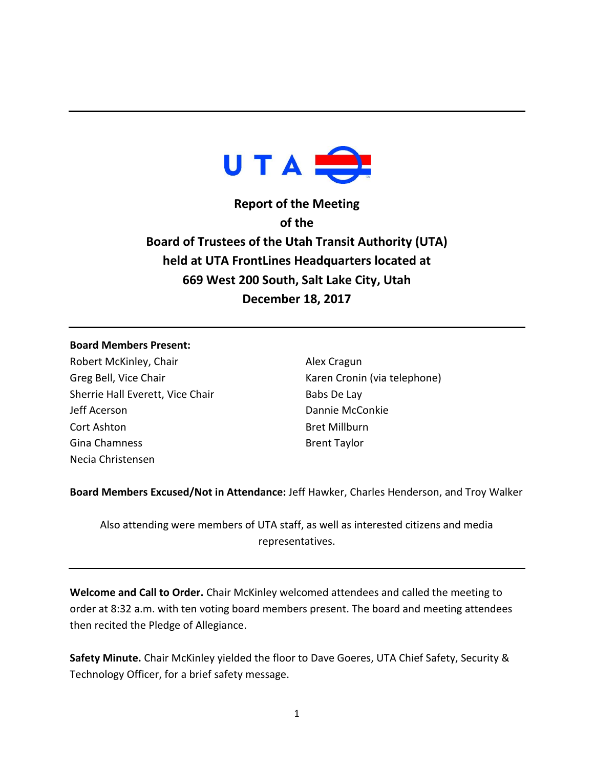

**Report of the Meeting of the Board of Trustees of the Utah Transit Authority (UTA) held at UTA FrontLines Headquarters located at 669 West 200 South, Salt Lake City, Utah December 18, 2017**

## **Board Members Present:**

Robert McKinley, Chair Greg Bell, Vice Chair Sherrie Hall Everett, Vice Chair Jeff Acerson Cort Ashton Gina Chamness Necia Christensen

Alex Cragun Karen Cronin (via telephone) Babs De Lay Dannie McConkie Bret Millburn Brent Taylor

**Board Members Excused/Not in Attendance:** Jeff Hawker, Charles Henderson, and Troy Walker

Also attending were members of UTA staff, as well as interested citizens and media representatives.

**Welcome and Call to Order.** Chair McKinley welcomed attendees and called the meeting to order at 8:32 a.m. with ten voting board members present. The board and meeting attendees then recited the Pledge of Allegiance.

**Safety Minute.** Chair McKinley yielded the floor to Dave Goeres, UTA Chief Safety, Security & Technology Officer, for a brief safety message.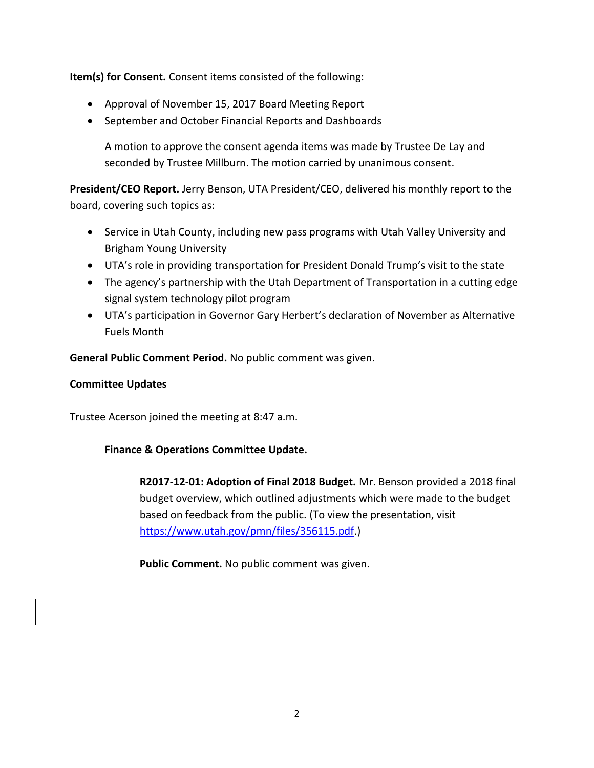**Item(s) for Consent.** Consent items consisted of the following:

- Approval of November 15, 2017 Board Meeting Report
- September and October Financial Reports and Dashboards

A motion to approve the consent agenda items was made by Trustee De Lay and seconded by Trustee Millburn. The motion carried by unanimous consent.

**President/CEO Report.** Jerry Benson, UTA President/CEO, delivered his monthly report to the board, covering such topics as:

- Service in Utah County, including new pass programs with Utah Valley University and Brigham Young University
- UTA's role in providing transportation for President Donald Trump's visit to the state
- The agency's partnership with the Utah Department of Transportation in a cutting edge signal system technology pilot program
- UTA's participation in Governor Gary Herbert's declaration of November as Alternative Fuels Month

**General Public Comment Period.** No public comment was given.

# **Committee Updates**

Trustee Acerson joined the meeting at 8:47 a.m.

# **Finance & Operations Committee Update.**

**R2017-12-01: Adoption of Final 2018 Budget.** Mr. Benson provided a 2018 final budget overview, which outlined adjustments which were made to the budget based on feedback from the public. (To view the presentation, visit [https://www.utah.gov/pmn/files/356115.pdf.](https://www.utah.gov/pmn/files/356115.pdf))

**Public Comment.** No public comment was given.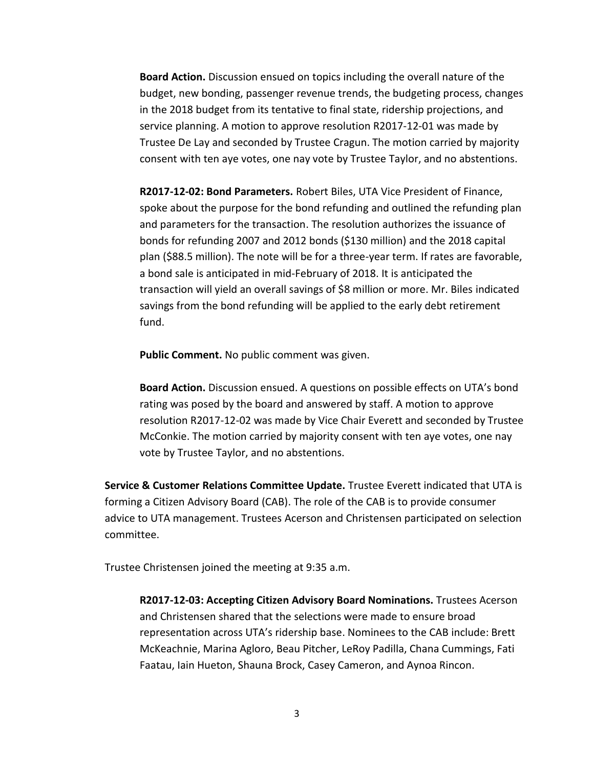**Board Action.** Discussion ensued on topics including the overall nature of the budget, new bonding, passenger revenue trends, the budgeting process, changes in the 2018 budget from its tentative to final state, ridership projections, and service planning. A motion to approve resolution R2017-12-01 was made by Trustee De Lay and seconded by Trustee Cragun. The motion carried by majority consent with ten aye votes, one nay vote by Trustee Taylor, and no abstentions.

**R2017-12-02: Bond Parameters.** Robert Biles, UTA Vice President of Finance, spoke about the purpose for the bond refunding and outlined the refunding plan and parameters for the transaction. The resolution authorizes the issuance of bonds for refunding 2007 and 2012 bonds (\$130 million) and the 2018 capital plan (\$88.5 million). The note will be for a three-year term. If rates are favorable, a bond sale is anticipated in mid-February of 2018. It is anticipated the transaction will yield an overall savings of \$8 million or more. Mr. Biles indicated savings from the bond refunding will be applied to the early debt retirement fund.

**Public Comment.** No public comment was given.

**Board Action.** Discussion ensued. A questions on possible effects on UTA's bond rating was posed by the board and answered by staff. A motion to approve resolution R2017-12-02 was made by Vice Chair Everett and seconded by Trustee McConkie. The motion carried by majority consent with ten aye votes, one nay vote by Trustee Taylor, and no abstentions.

**Service & Customer Relations Committee Update.** Trustee Everett indicated that UTA is forming a Citizen Advisory Board (CAB). The role of the CAB is to provide consumer advice to UTA management. Trustees Acerson and Christensen participated on selection committee.

Trustee Christensen joined the meeting at 9:35 a.m.

**R2017-12-03: Accepting Citizen Advisory Board Nominations.** Trustees Acerson and Christensen shared that the selections were made to ensure broad representation across UTA's ridership base. Nominees to the CAB include: Brett McKeachnie, Marina Agloro, Beau Pitcher, LeRoy Padilla, Chana Cummings, Fati Faatau, Iain Hueton, Shauna Brock, Casey Cameron, and Aynoa Rincon.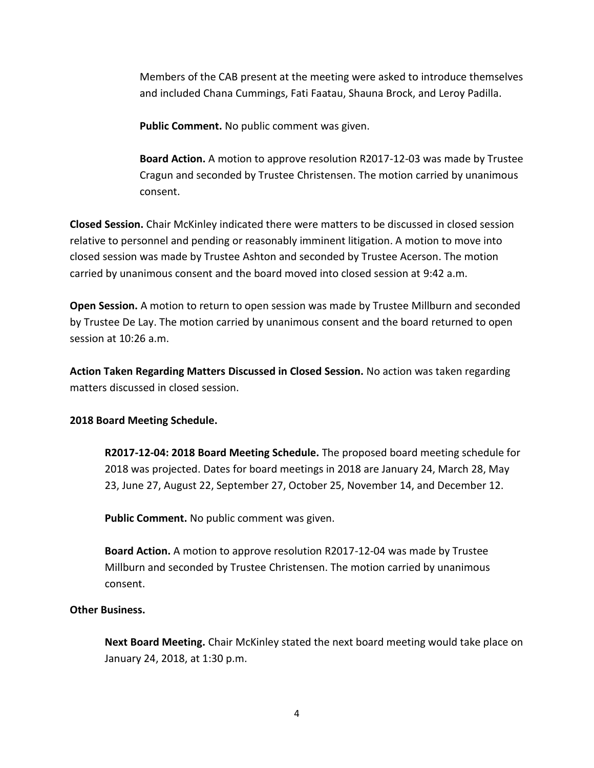Members of the CAB present at the meeting were asked to introduce themselves and included Chana Cummings, Fati Faatau, Shauna Brock, and Leroy Padilla.

**Public Comment.** No public comment was given.

**Board Action.** A motion to approve resolution R2017-12-03 was made by Trustee Cragun and seconded by Trustee Christensen. The motion carried by unanimous consent.

**Closed Session.** Chair McKinley indicated there were matters to be discussed in closed session relative to personnel and pending or reasonably imminent litigation. A motion to move into closed session was made by Trustee Ashton and seconded by Trustee Acerson. The motion carried by unanimous consent and the board moved into closed session at 9:42 a.m.

**Open Session.** A motion to return to open session was made by Trustee Millburn and seconded by Trustee De Lay. The motion carried by unanimous consent and the board returned to open session at 10:26 a.m.

**Action Taken Regarding Matters Discussed in Closed Session.** No action was taken regarding matters discussed in closed session.

# **2018 Board Meeting Schedule.**

**R2017-12-04: 2018 Board Meeting Schedule.** The proposed board meeting schedule for 2018 was projected. Dates for board meetings in 2018 are January 24, March 28, May 23, June 27, August 22, September 27, October 25, November 14, and December 12.

**Public Comment.** No public comment was given.

**Board Action.** A motion to approve resolution R2017-12-04 was made by Trustee Millburn and seconded by Trustee Christensen. The motion carried by unanimous consent.

# **Other Business.**

**Next Board Meeting.** Chair McKinley stated the next board meeting would take place on January 24, 2018, at 1:30 p.m.